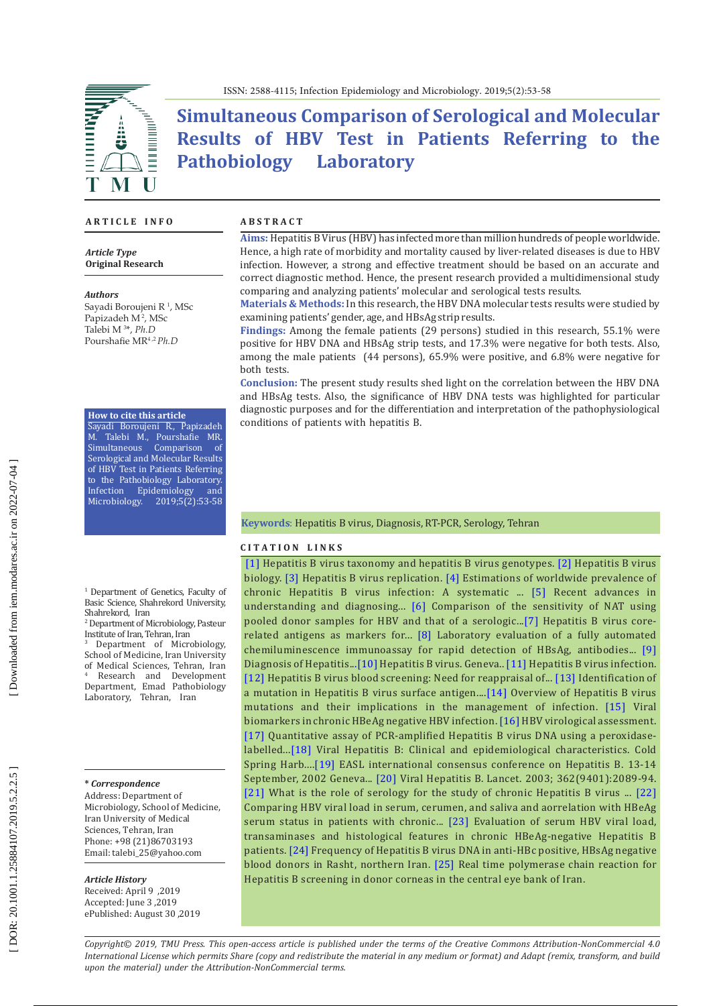

**Simultaneous Comparison of Serological and Molecular Results of HBV Test in Patients Referring to the Pathobiology Laboratory** 

#### **A R T I C L E I N F O**

*Article Type* **Original Research**

#### *Authors*

Sayadi Boroujeni R 1 , MSc Papizadeh M<sup>2</sup>, MSc Talebi M 3 \*, *Ph.D* Pourshafie MR 4 , <sup>2</sup>*Ph.D*

### **How to cite this article**

Sayadi Boroujeni R., Papizadeh M. Talebi M., Pourshafie MR.<br>Simultaneous Comparison of Comparison of Serological and Molecular Results of HBV Test in Patients Referring to the Pathobiology Laboratory.<br>Infection Epidemiology and Infection Epidemiology Microbiology. 2019;5(2):53-58

1 Department of Genetics, Faculty of Basic Science, Shahrekord University,

Shahrekord, Iran<br><sup>2</sup> Department of Microbiology, Pasteur Institute of Iran, Tehran, Iran<br><sup>3</sup> Department of Microbiology,

School of Medicine, Iran University of Medical Sciences, Tehran, Iran <sup>4</sup> Research and Development Department, Emad Pathobiology Laboratory, Tehran, Iran

**\*** *Correspondence* Address: Department of

Microbiology, School of Medicine, Iran University of Medical Sciences, Tehran, Iran Phone: +98 (21)86703193 Email: talebi\_25@yahoo.com

#### *Article History*

Received: April 9 ,2019 Accepted: June 3 ,2019 ePublished: August 30 ,2019

#### **A B S T R A C T**

**Aims:** Hepatitis B Virus (HBV) has infected more than million hundreds of people worldwide. Hence, a high rate of morbidity and mortality caused by liver-related diseases is due to HBV infection. However, a strong and effective treatment should be based on an accurate and correct diagnostic method. Hence, the present research provided a multidimensional study comparing and analyzing patients' molecular and serological tests results.

**Materials & Methods:** In this research, the HBV DNA molecular tests results were studied by examining patients' gender, age, and HBsAg strip results.

**Findings:** Among the female patients (29 persons) studied in this research, 55.1% were positive for HBV DNA and HBsAg strip tests, and 17.3% were negative for both tests. Also, among the male patients (44 persons), 65.9% were positive, and 6.8% were negative for both tests.

**Conclusion:** The present study results shed light on the correlation between the HBV DNA and HBsAg tests. Also, the significance of HBV DNA tests was highlighted for particular diagnostic purposes and for the differentiation and interpretation of the pathophysiological conditions of patients with hepatitis B.

**Keywords**: Hepatitis B virus, Diagnosis, RT-PCR, Serology, Tehran

### **C I T A T I O N L I N K S**

[\[1\]](https://www.ncbi.nlm.nih.gov/pubmed/17206751) Hepatitis B virus taxonomy and hepatitis B virus genotypes. [\[2\]](https://www.ncbi.nlm.nih.gov/pubmed/10704474) Hepatitis B virus biology. [\[3\]](https://www.ncbi.nlm.nih.gov/pubmed/8137119) Hepatitis B virus replication. [\[4\]](https://www.ncbi.nlm.nih.gov/pubmed/26231459) Estimations of worldwide prevalence of chronic Hepatitis B virus infection: A systematic ... [\[5\]](https://www.ncbi.nlm.nih.gov/pubmed/27635243) Recent advances in understanding and diagnosing... [\[6\]](https://www.ncbi.nlm.nih.gov/pubmed/11552066) Comparison of the sensitivity of NAT using pooled donor samples for HBV and that of a serologic..[.\[7\]](https://jcm.asm.org/content/45/12/3942) Hepatitis B virus corerelated antigens as markers for... [\[8\]](https://www.ncbi.nlm.nih.gov/pubmed/14766824) Laboratory evaluation of a fully automated chemiluminescence immunoassay for rapid detection of HBsAg, antibodies... [\[9\]](https://www.ncbi.nlm.nih.gov/pmc/articles/PMC5066055/)  Diagnosis of Hepatitis..[.\[10\]](https://www.who.int/hepatitis/topics/hepatitis-b/en/) Hepatitis B virus. Geneva.. [\[11\]](https://www.thelancet.com/journals/lancet/article/PIIS0140-6736\(14\)60220-8/fulltext) Hepatitis B virus infection. [\[12\]](https://www.ncbi.nlm.nih.gov/pubmed/29515997) Hepatitis B virus blood screening: Need for reappraisal of... [\[13\]](https://www.ncbi.nlm.nih.gov/pubmed/27525840) Identification of a mutation in Hepatitis B virus surface antigen....[\[14\]](https://www.ncbi.nlm.nih.gov/pubmed/26755866) Overview of Hepatitis B virus mutations and their implications in the management of infection. [\[15\]](https://www.ncbi.nlm.nih.gov/pmc/articles/PMC6210948/) Viral biomarkers in chronic HBeAg negative HBV infection. [\[16\]](https://www.ncbi.nlm.nih.gov/pubmed/16343681) HBV virological assessment. [\[17\]](https://www.ncbi.nlm.nih.gov/pubmed/8818875) Quantitative assay of PCR-amplified Hepatitis B virus DNA using a peroxidaselabelled...[\[18\]](https://www.ncbi.nlm.nih.gov/pubmed/25359547) Viral Hepatitis B: Clinical and epidemiological characteristics. Cold Spring Harb....[\[19\]](https://www.ncbi.nlm.nih.gov/pubmed/14708673) EASL international consensus conference on Hepatitis B. 13-14 September, 2002 Geneva..[. \[20\]](https://www.ncbi.nlm.nih.gov/pubmed/14697813) Viral Hepatitis B. Lancet. 2003; 362(9401):2089-94. [\[21\]](https://www.ncbi.nlm.nih.gov/pubmed/18428144) What is the role of serology for the study of chronic Hepatitis B virus ... [\[22\]](http://hepatmon.com/en/articles/55410.html)  Comparing HBV viral load in serum, cerumen, and saliva and aorrelation with HBeAg serum status in patients with chronic... [\[23\]](https://www.ncbi.nlm.nih.gov/pmc/articles/PMC5346823/) Evaluation of serum HBV viral load, transaminases and histological features in chronic HBeAg-negative Hepatitis B patients. [\[24\]](https://www.ncbi.nlm.nih.gov/pubmed/21971311) Frequency of Hepatitis B virus DNA in anti-HBc positive, HBsAg negative blood donors in Rasht, northern Iran. [\[25\]](https://www.ncbi.nlm.nih.gov/pubmed/30479707) Real time polymerase chain reaction for Hepatitis B screening in donor corneas in the central eye bank of Iran.

*Copyright© 2019, TMU Press. This open-access article is published under the terms of the Creative Commons Attribution-NonCommercial 4.0 International License which permits Share (copy and redistribute the material in any medium or format) and Adapt (remix, transform, and build upon the material) under the Attribution-NonCommercial terms.*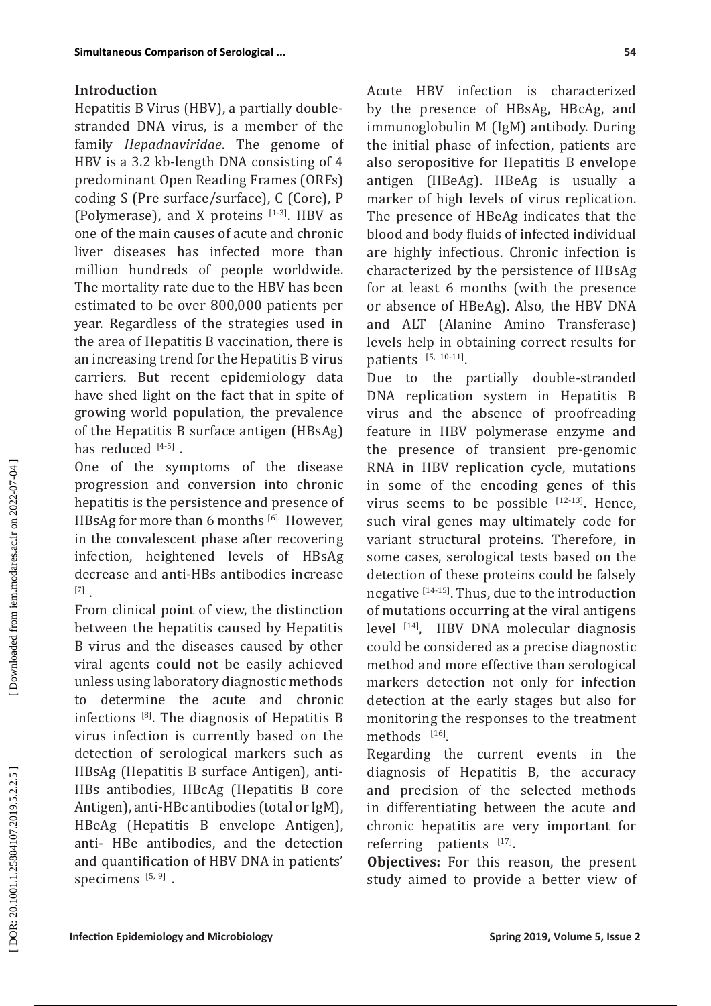## **Introduction**

Hepatitis B Virus (HBV), a partially doublestranded DNA virus, is a member of the family *Hepadnaviridae*. The genome of HBV is a 3.2 kb-length DNA consisting of 4 predominant Open Reading Frames (ORFs) coding S (Pre surface/surface), C (Core), P (Polymerase), and X proteins  $[1-3]$ . HBV as one of the main causes of acute and chronic liver diseases has infected more than million hundreds of people worldwide. The mortality rate due to the HBV has been estimated to be over 800,000 patients per year. Regardless of the strategies used in the area of Hepatitis B vaccination, there is an increasing trend for the Hepatitis B virus carriers. But recent epidemiology data have shed light on the fact that in spite of growing world population, the prevalence of the Hepatitis B surface antigen (HBsAg) has reduced  $[4-5]$ .

One of the symptoms of the disease progression and conversion into chronic hepatitis is the persistence and presence of HBsAg for more than 6 months <sup>[6].</sup> However, in the convalescent phase after recovering infection, heightened levels of HBsAg decrease and anti-HBs antibodies increase [7] .

From clinical point of view, the distinction between the hepatitis caused by Hepatitis B virus and the diseases caused by other viral agents could not be easily achieved unless using laboratory diagnostic methods to determine the acute and chronic infections  $[8]$ . The diagnosis of Hepatitis B virus infection is currently based on the detection of serological markers such as HBsAg (Hepatitis B surface Antigen), anti-HBs antibodies, HBcAg (Hepatitis B core Antigen), anti-HBc antibodies (total or IgM), HBeAg (Hepatitis B envelope Antigen), anti- HBe antibodies, and the detection and quantification of HBV DNA in patients' specimens [5, 9].

Acute HBV infection is characterized by the presence of HBsAg, HBcAg, and immunoglobulin M (IgM) antibody. During the initial phase of infection, patients are also seropositive for Hepatitis B envelope antigen (HBeAg). HBeAg is usually a marker of high levels of virus replication. The presence of HBeAg indicates that the blood and body fluids of infected individual are highly infectious. Chronic infection is characterized by the persistence of HBsAg for at least 6 months (with the presence or absence of HBeAg). Also, the HBV DNA and ALT (Alanine Amino Transferase) levels help in obtaining correct results for patients  $[5, 10-11]$ .

Due to the partially double-stranded DNA replication system in Hepatitis B virus and the absence of proofreading feature in HBV polymerase enzyme and the presence of transient pre-genomic RNA in HBV replication cycle, mutations in some of the encoding genes of this virus seems to be possible  $[12-13]$ . Hence, such viral genes may ultimately code for variant structural proteins. Therefore, in some cases, serological tests based on the detection of these proteins could be falsely negative [14-15]. Thus, due to the introduction of mutations occurring at the viral antigens level [14], HBV DNA molecular diagnosis could be considered as a precise diagnostic method and more effective than serological markers detection not only for infection detection at the early stages but also for monitoring the responses to the treatment methods  $[16]$ .

Regarding the current events in the diagnosis of Hepatitis B, the accuracy and precision of the selected methods in differentiating between the acute and chronic hepatitis are very important for referring patients [17].

**Objectives:** For this reason, the present study aimed to provide a better view of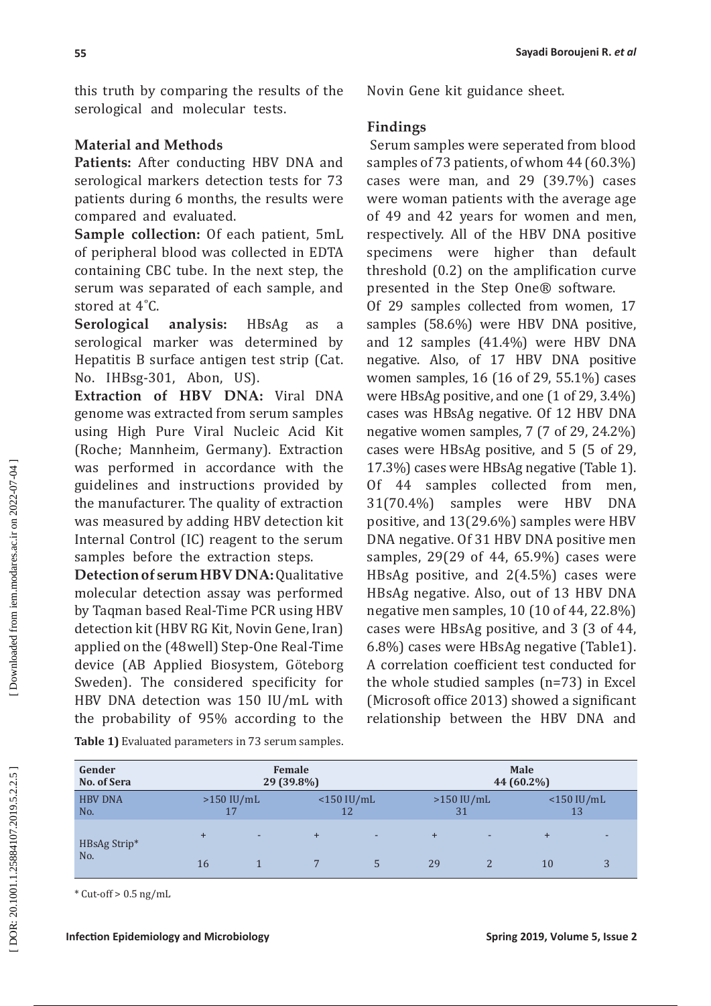this truth by comparing the results of the serological and molecular tests.

# **Material and Methods**

**Patients:** After conducting HBV DNA and serological markers detection tests for 73 patients during 6 months, the results were compared and evaluated.

**Sample collection:** Of each patient, 5mL of peripheral blood was collected in EDTA containing CBC tube. In the next step, the serum was separated of each sample, and stored at 4°C.

**Serological analysis:** HBsAg as a serological marker was determined by Hepatitis B surface antigen test strip (Cat. No. IHBsg-301, Abon, US).

**Extraction of HBV DNA:** Viral DNA genome was extracted from serum samples using High Pure Viral Nucleic Acid Kit (Roche; Mannheim, Germany). Extraction was performed in accordance with the guidelines and instructions provided by the manufacturer. The quality of extraction was measured by adding HBV detection kit Internal Control (IC) reagent to the serum samples before the extraction steps.

**Detection of serum HBV DNA:** Qualitative molecular detection assay was performed by Taqman based Real-Time PCR using HBV detection kit (HBV RG Kit, Novin Gene, Iran) applied on the (48well) Step-One Real-Time device (AB Applied Biosystem, Göteborg Sweden). The considered specificity for HBV DNA detection was 150 IU/mL with the probability of 95% according to the Novin Gene kit guidance sheet.

# **Findings**

 Serum samples were seperated from blood samples of 73 patients, of whom 44 (60.3%) cases were man, and 29 (39.7%) cases were woman patients with the average age of 49 and 42 years for women and men, respectively. All of the HBV DNA positive specimens were higher than default threshold (0.2) on the amplification curve presented in the Step One® software.

Of 29 samples collected from women, 17 samples (58.6%) were HBV DNA positive, and 12 samples (41.4%) were HBV DNA negative. Also, of 17 HBV DNA positive women samples, 16 (16 of 29, 55.1%) cases were HBsAg positive, and one (1 of 29, 3.4%) cases was HBsAg negative. Of 12 HBV DNA negative women samples, 7 (7 of 29, 24.2%) cases were HBsAg positive, and 5 (5 of 29, 17.3%) cases were HBsAg negative (Table 1). Of 44 samples collected from men, 31(70.4%) samples were HBV DNA positive, and 13(29.6%) samples were HBV DNA negative. Of 31 HBV DNA positive men samples, 29(29 of 44, 65.9%) cases were HBsAg positive, and 2(4.5%) cases were HBsAg negative. Also, out of 13 HBV DNA negative men samples, 10 (10 of 44, 22.8%) cases were HBsAg positive, and 3 (3 of 44, 6.8%) cases were HBsAg negative (Table1). A correlation coefficient test conducted for the whole studied samples (n=73) in Excel (Microsoft office 2013) showed a significant relationship between the HBV DNA and

| Gender              | Female     |              |     |               | <b>Male</b> |              |           |                   |  |
|---------------------|------------|--------------|-----|---------------|-------------|--------------|-----------|-------------------|--|
| No. of Sera         | 29 (39.8%) |              |     |               | 44 (60.2%)  |              |           |                   |  |
| <b>HBV DNA</b>      |            | $>150$ IU/mL |     | $<$ 150 IU/mL |             | $>150$ IU/mL |           | $<$ 150 IU/mL     |  |
| No.                 |            | 17           |     | 12            |             | 31           |           | 13                |  |
| HBsAg Strip*<br>No. |            | ٠            | $+$ | ٠             | $\ddot{}$   | ۰            | $\ddot{}$ | ٠                 |  |
|                     | 16         |              |     |               | 29          |              | 10        | $\mathbf{z}$<br>J |  |

**Table 1)** Evaluated parameters in 73 serum samples.

 $*$  Cut-off > 0.5 ng/mL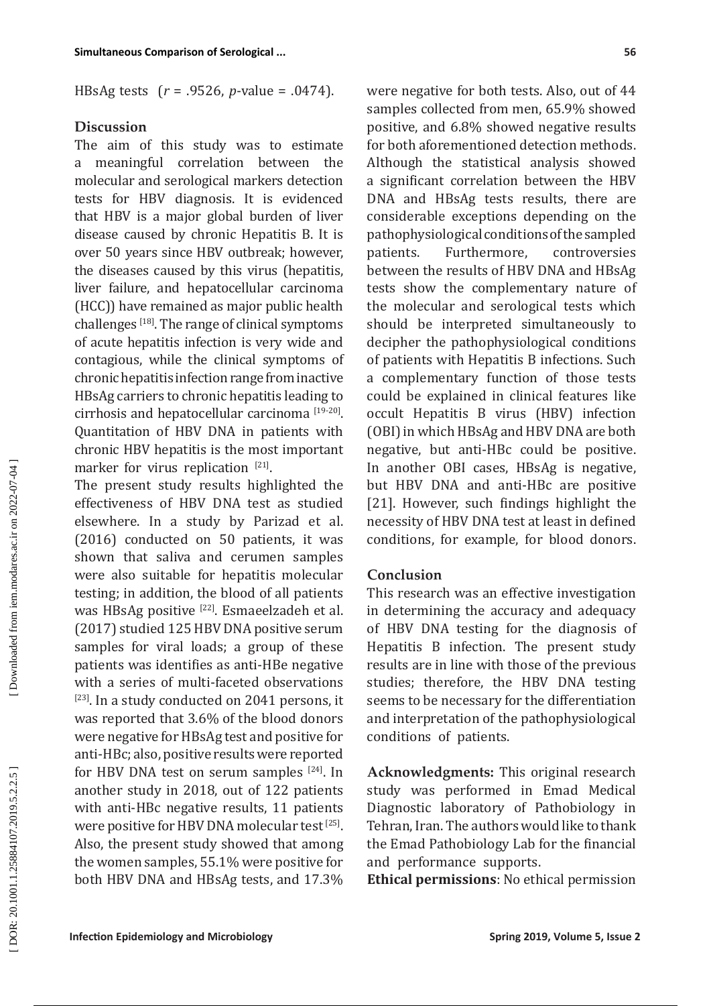HBsAg tests ( *r* = .9526, *p*-value = .0474).

## **Discussion**

The aim of this study was to estimate a meaningful correlation between the molecular and serological markers detection tests for HBV diagnosis. It is evidenced that HBV is a major global burden of liver disease caused by chronic Hepatitis B. It is over 50 years since HBV outbreak; however, the diseases caused by this virus (hepatitis, liver failure, and hepatocellular carcinoma (HCC)) have remained as major public health challenges [18]. The range of clinical symptoms of acute hepatitis infection is very wide and contagious, while the clinical symptoms of chronic hepatitis infection range from inactive HBsAg carriers to chronic hepatitis leading to cirrhosis and hepatocellular carcinoma [19-20]. Quantitation of HBV DNA in patients with chronic HBV hepatitis is the most important marker for virus replication [21].

The present study results highlighted the effectiveness of HBV DNA test as studied elsewhere. In a study by Parizad et al. (2016) conducted on 50 patients, it was shown that saliva and cerumen samples were also suitable for hepatitis molecular testing; in addition, the blood of all patients was HBsAg positive [22]. Esmaeelzadeh et al. (2017) studied 125 HBV DNA positive serum samples for viral loads; a group of these patients was identifies as anti-HBe negative with a series of multi-faceted observations  $[23]$ . In a study conducted on 2041 persons, it was reported that 3.6% of the blood donors were negative for HBsAg test and positive for anti-HBc; also, positive results were reported for HBV DNA test on serum samples  $[24]$ . In another study in 2018, out of 122 patients with anti-HBc negative results, 11 patients were positive for HBV DNA molecular test [25]. Also, the present study showed that among the women samples, 55.1% were positive for both HBV DNA and HBsAg tests, and 17.3% were negative for both tests. Also, out of 44 samples collected from men, 65.9% showed positive, and 6.8% showed negative results for both aforementioned detection methods. Although the statistical analysis showed a significant correlation between the HBV DNA and HBsAg tests results, there are considerable exceptions depending on the pathophysiological conditions of the sampled patients. Furthermore, controversies between the results of HBV DNA and HBsAg tests show the complementary nature of the molecular and serological tests which should be interpreted simultaneously to decipher the pathophysiological conditions of patients with Hepatitis B infections. Such a complementary function of those tests could be explained in clinical features like occult Hepatitis B virus (HBV) infection (OBI) in which HBsAg and HBV DNA are both negative, but anti-HBc could be positive. In another OBI cases, HBsAg is negative, but HBV DNA and anti-HBc are positive [21]. However, such findings highlight the necessity of HBV DNA test at least in defined conditions, for example, for blood donors.

## **Conclusion**

This research was an effective investigation in determining the accuracy and adequacy of HBV DNA testing for the diagnosis of Hepatitis B infection. The present study results are in line with those of the previous studies; therefore, the HBV DNA testing seems to be necessary for the differentiation and interpretation of the pathophysiological conditions of patients.

**Acknowledgments:** This original research study was performed in Emad Medical Diagnostic laboratory of Pathobiology in Tehran, Iran. The authors would like to thank the Emad Pathobiology Lab for the financial and performance supports.

**Ethical permissions**: No ethical permission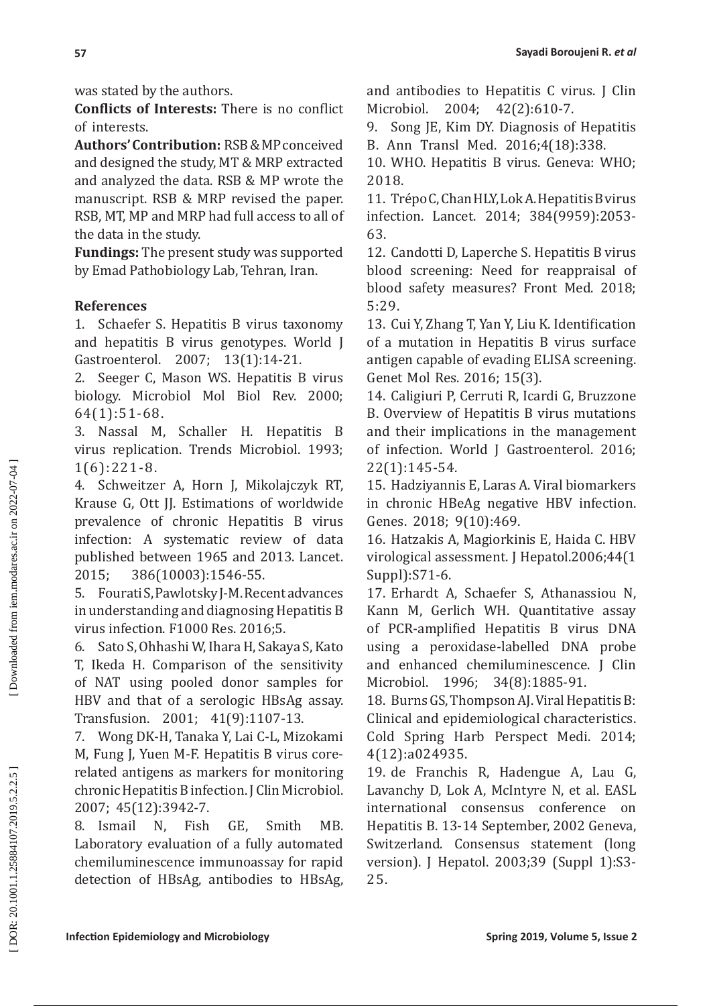was stated by the authors.

**Conflicts of Interests:** There is no conflict of interests.

**Authors' Contribution:** RSB & MP conceived and designed the study, MT & MRP extracted and analyzed the data. RSB & MP wrote the manuscript. RSB & MRP revised the paper. RSB, MT, MP and MRP had full access to all of the data in the study.

**Fundings:** The present study was supported by Emad Pathobiology Lab, Tehran, Iran.

# **References**

1. Schaefer S. Hepatitis B virus taxonomy and hepatitis B virus genotypes. World J Gastroenterol. 2007; 13(1):14-21.

2. Seeger C, Mason WS. Hepatitis B virus biology. Microbiol Mol Biol Rev. 2000; 64(1):51-68.

3. Nassal M, Schaller H. Hepatitis B virus replication. Trends Microbiol. 1993; 1(6):221-8.

4. Schweitzer A, Horn J, Mikolajczyk RT, Krause G, Ott JJ. Estimations of worldwide prevalence of chronic Hepatitis B virus infection: A systematic review of data published between 1965 and 2013. Lancet. 2015; 386(10003):1546-55.

5. Fourati S, Pawlotsky J-M. Recent advances in understanding and diagnosing Hepatitis B virus infection. F1000 Res. 2016;5.

6. Sato S, Ohhashi W, Ihara H, Sakaya S, Kato T, Ikeda H. Comparison of the sensitivity of NAT using pooled donor samples for HBV and that of a serologic HBsAg assay. Transfusion. 2001; 41(9):1107-13.

7. Wong DK-H, Tanaka Y, Lai C-L, Mizokami M, Fung J, Yuen M-F. Hepatitis B virus corerelated antigens as markers for monitoring chronic Hepatitis B infection. J Clin Microbiol. 2007; 45(12):3942-7.

8. Ismail N, Fish GE, Smith MB. Laboratory evaluation of a fully automated chemiluminescence immunoassay for rapid detection of HBsAg, antibodies to HBsAg, and antibodies to Hepatitis C virus. J Clin Microbiol. 2004; 42(2):610-7.

9. Song JE, Kim DY. Diagnosis of Hepatitis B. Ann Transl Med. 2016;4(18):338.

10. WHO. Hepatitis B virus. Geneva: WHO; 2018.

11. Trépo C, Chan HLY, Lok A. Hepatitis B virus infection. Lancet. 2014; 384(9959):2053- 63.

12. Candotti D, Laperche S. Hepatitis B virus blood screening: Need for reappraisal of blood safety measures? Front Med. 2018; 5:29.

13. Cui Y, Zhang T, Yan Y, Liu K. Identification of a mutation in Hepatitis B virus surface antigen capable of evading ELISA screening. Genet Mol Res. 2016; 15(3).

14. Caligiuri P, Cerruti R, Icardi G, Bruzzone B. Overview of Hepatitis B virus mutations and their implications in the management of infection. World J Gastroenterol. 2016; 22(1):145-54.

15. Hadziyannis E, Laras A. Viral biomarkers in chronic HBeAg negative HBV infection. Genes. 2018; 9(10):469.

16. Hatzakis A, Magiorkinis E, Haida C. HBV virological assessment. J Hepatol.2006;44(1 Suppl):S71-6.

17. Erhardt A, Schaefer S, Athanassiou N, Kann M, Gerlich WH. Quantitative assay of PCR-amplified Hepatitis B virus DNA using a peroxidase-labelled DNA probe and enhanced chemiluminescence. J Clin Microbiol. 1996; 34(8):1885-91.

18. Burns GS, Thompson AJ. Viral Hepatitis B: Clinical and epidemiological characteristics. Cold Spring Harb Perspect Medi. 2014; 4(12):a024935.

19. de Franchis R, Hadengue A, Lau G, Lavanchy D, Lok A, McIntyre N, et al. EASL international consensus conference on Hepatitis B. 13-14 September, 2002 Geneva, Switzerland. Consensus statement (long version). J Hepatol. 2003;39 (Suppl 1):S3- 25.